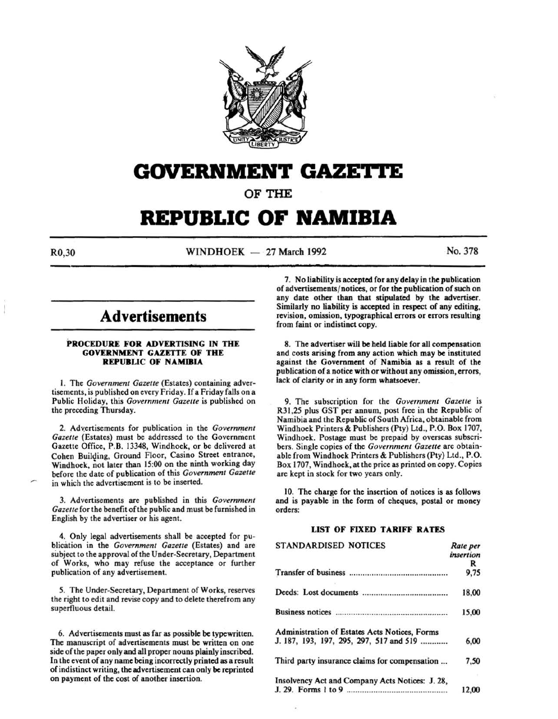

## **GOVERNMENT GAZETTE**

OF THE

# **REPUBLIC OF NAMIBIA**

 $R0,30$  WINDHOEK – 27 March 1992 No. 378

### **Advertisements**

#### PROCEDURE FOR ADVERTISING IN THE GOVERNMENT GAZETTE OF THE REPUBLIC OF NAMIBIA

I. The *Government Gazette* (Estates) containing advertisements, is published on every Friday. If a Friday falls on a Public Holiday, this *Government Gazette* is published on the preceding Thursday.

2. Advertisements for publication in the *Government Gazette* {Estates) must be addressed to the Government Gazette Office, P.B. 13348, Windhoek, or be delivered at Cohen Building, Ground Floor, Casino Street entrance, Windhoek, not later than 15:00 on the ninth working day before the date of publication of this *Government Gazette*  in which the advertisement is to be inserted.

3. Advertisements are published in this *Government Gazette* for the benefit of the public and must be fumished in English by the advertiser or his agent.

4. Only legal advertisements shall be accepted for publication in the *Government Gazette* (Estates) and are subject to the approval of the Under-Secretary, Department of Works, who may refuse the acceptance or further publication of any advertisement.

5. The Under-Secretary, Department of Works, reserves the right to edit and revise copy and to delete therefrom any superfluous detail.

6. Advertisements must as far as possible be typewritten. The manuscript of advertisements must be written on one side of the paper only and all proper nouns plainly inscribed. In the event of any name being incorrectly printed as a result of indistinct writing, the advertisement can only be reprinted on payment of the cost of another insertion.

7. No liability is accepkd for any delay in the publication of advertisements/ notices, or for the publication of such on any date other than that stipulated by the advertiser. Similarly no liability is accepted in respect of any editing, revision, omission, typographical errors or errors resulting from faint or indistinct copy.

8. The advertiser will be held liable for all compensation and costs arising from any action which may be instituted against the Government of Namibia as a result of the publication of a notice with or without any omission, errors, lack of clarity or in any form whatsoever.

9. The subscription for the *Government Gazette* is R31,25 plus GST per annum, post free in the Republic of Namibia and the Republic of South Africa, obtainable from Windhoek Printers & Publishers (Pty) Ltd., P.O. Box 1707, Windhoek. Postage must be prepaid by overseas subscribers. Single copies of the *Government Gazette* are obtainable from Windhoek Printers & Publishers (Pty) Ltd., P.O. Box 1707, Windhoek, at the price as printed on copy. Copies are kept in stock for two years only.

10. The charge for the insertion of notices is as folJows and is payable in the form of cheques, postal or money orders:

### LIST OF FIXED TARIFF RATES

| <b>STANDARDISED NOTICES</b>                     | Rate per  |
|-------------------------------------------------|-----------|
|                                                 | insertion |
|                                                 | R         |
|                                                 | 9,75      |
|                                                 | 18,00     |
|                                                 | 15,00     |
| Administration of Estates Acts Notices, Forms   |           |
| J. 187, 193, 197, 295, 297, 517 and 519         | 6,00      |
| Third party insurance claims for compensation   | 7,50      |
| Insolvency Act and Company Acts Notices: J. 28, |           |
|                                                 | 12.00     |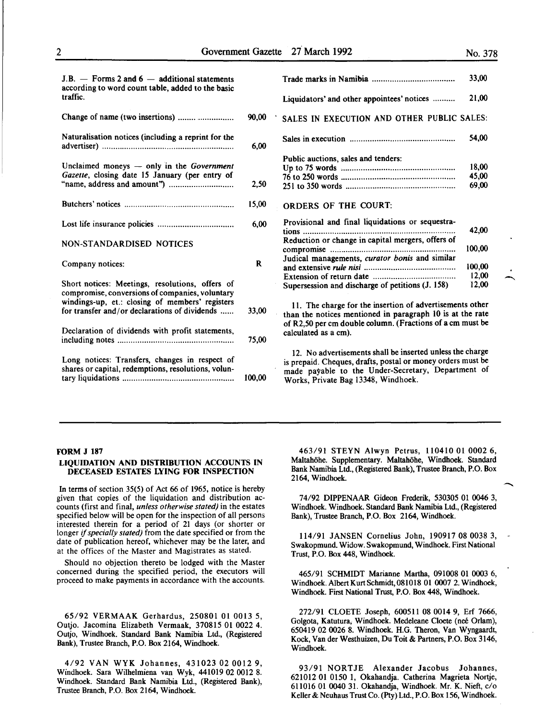-

| Change of name (two insertions)                                                                                                                       | 90,00 |
|-------------------------------------------------------------------------------------------------------------------------------------------------------|-------|
| Naturalisation notices (including a reprint for the                                                                                                   | 6,00  |
| Unclaimed moneys - only in the Government<br>Gazette, closing date 15 January (per entry of                                                           | 2,50  |
|                                                                                                                                                       | 15,00 |
|                                                                                                                                                       | 6,00  |
| <b>NON-STANDARDISED NOTICES</b>                                                                                                                       |       |
| Company notices:                                                                                                                                      | R     |
| Short notices: Meetings, resolutions, offers of<br>compromise, conversions of companies, voluntary<br>windings-up, et.: closing of members' registers |       |
| for transfer and/or declarations of dividends                                                                                                         | 33,00 |
| Declaration of dividends with profit statements,                                                                                                      | 75,00 |
|                                                                                                                                                       |       |

| $J.B.$ - Forms 2 and 6 - additional statements<br>according to word count table, added to the basic |       |                                                   | 33,00  |
|-----------------------------------------------------------------------------------------------------|-------|---------------------------------------------------|--------|
| traffic.                                                                                            |       | Liquidators' and other appointees' notices        | 21,00  |
| Change of name (two insertions)                                                                     | 90,00 | SALES IN EXECUTION AND OTHER PUBLIC SALES:        |        |
| Naturalisation notices (including a reprint for the                                                 | 6,00  |                                                   | 54,00  |
|                                                                                                     |       | Public auctions, sales and tenders:               |        |
| Unclaimed moneys - only in the Government                                                           |       |                                                   | 18.00  |
| <i>Gazette</i> , closing date 15 January (per entry of                                              |       |                                                   | 45,00  |
|                                                                                                     | 2,50  |                                                   | 69,00  |
|                                                                                                     | 15,00 | <b>ORDERS OF THE COURT:</b>                       |        |
|                                                                                                     | 6,00  | Provisional and final liquidations or sequestra-  |        |
|                                                                                                     |       |                                                   | 42,00  |
| NON-STANDARDISED NOTICES                                                                            |       | Reduction or change in capital mergers, offers of | 100,00 |
|                                                                                                     |       |                                                   |        |
| Company notices:                                                                                    | R     | Judical managements, curator bonis and similar    | 100,00 |
|                                                                                                     |       |                                                   | 12,00  |
| Short notices: Meetings, resolutions, offers of                                                     |       |                                                   | 12,00  |
|                                                                                                     |       | Supersession and discharge of petitions (J. 158)  |        |

II. The charge for the insertion of advertisements other than the notices mentioned in paragraph 10 is at the rate of R2,50 per em double column. (Fractions of a em must be calculated as a em).

12. No advertisements shall be inserted unless the charge is prepaid. Cheques, drafts, postal or money orders must be made payable to the Under-Secretary, Department of Works, Private Bag 13348, Windhoek.

#### FORM J 187

#### LIQUIDATION AND DISTRIBUTION ACCOUNTS IN DECEASED ESTATES LYING FOR INSPECTION

In terms of section 35(5) of Act 66 of 1965, notice is hereby given that copies of the liquidation and distribution accounts (first and final, *unless otherwise stated)* in the estates specified below will be open for the inspection of all persons interested therein for a period of 21 days (or shorter or longer if *specially stated)* from the date specified or from the date of publication hereof, whichever may be the later, and at the offices of the Master and Magistrates as stated.

Should no objection thereto be lodged with the Master concerned during the specified period, the executors will proceed to make payments in accordance with the accounts.

65/92 VERMAAK Gerhardus, 250801 01 0013 5, Outjo. Jacomina Elizabeth Vermaak, 370815 01 0022 4. Outjo, Windhoek. Standard Bank Namibia Ltd., (Registered Bank), Trustee Branch, P.O. Box 2164, Windhoek.

4/92 VANWYK Johannes, 431023 02 0012 9, Windhoek. Sara Wilhelmiena van Wyk, 441019 02 0012 8. Windhoek. Standard Bank Namibia Ltd., (Registered Bank), Trustee Branch, P.O. Box 2164, Windhoek.

463/91 STEYN Alwyn Petrus, 110410 01 0002 6, Maltahöhe. Supplementary. Maltahöhe, Windhoek. Standard Bank Namibia Ltd., (Registered Bank), Trustee Branch, P.O. Box 2164, Windhoek.

74/92 DIPPENAAR Gideon Frederik, 530305 01 0046 3, Windhoek. Windhoek. Standard Bank Namibia Ltd., (Registered Bank), Trustee Branch, P.O. Box 2164, Windhoek.

114/91 JANSEN Cornelius John, 190917 08 0038 3, Swakopmund. Widow. Swakopmund, Windhoek. First National Trust, P.O. Box 448, Windhoek.

465/91 SCHMIDT Marianne Martha, 091008 01 0003 6, Windhoek. Albert Kurt Schmidt, 081018 01 0007 2. Windhoek, Windhoek. First National Trust, P.O. Box 448, Windhoek.

272/91 CLOETE Joseph, 600511 08 0014 9, Erf 7666, Golgota, Katutura, Windhoek. Medeleane Cloete (neé Orlam), 650419 02 0026 8. Windhoek. H.G. Theron, Van Wyngaardt, Kock, Vander Westhuizen, Du Toit & Partners, P.O. Box 3146, Windhoek.

93/91 NORTJE Alexander Jacobus Johannes, 621012 01 0150 l, Okahandja. Catherina Magrieta Nortje, 611016 01 0040 31. Okahandja, Windhoek. Mr. K. Nieft, c/o Keller & Neuhaus Trust Co. (Pty) Ltd., P.O. Box 156, Windhoek.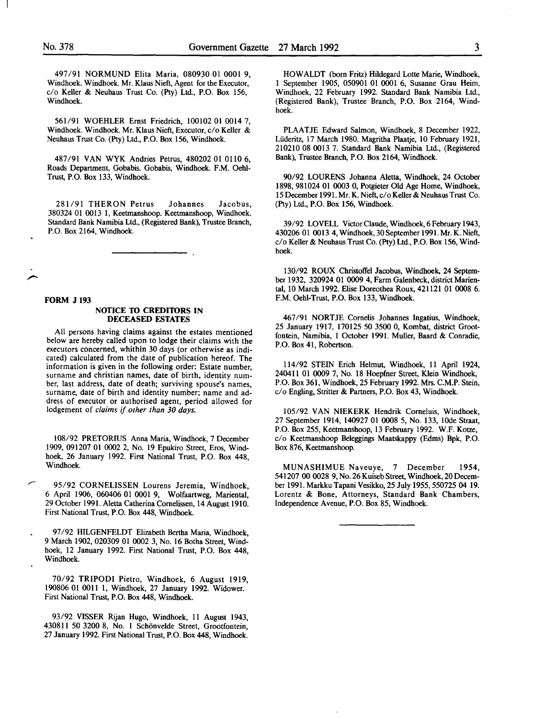497/91 NORMUND Elita Maria, 080930 01 0001 9, Windhoek. Windhoek. Mr. Klaus Nieft, Agent for the Executor, c/o Keller & Neuhaus Trust Co. (Pty) Ltd., P.O. Box 156, Windhoek.

561/91 WOEHLER Ernst Friedrich, 100102 01 0014 7, Windhoek. Windhoek. Mr. Klaus Nieft, Executor, c/o Keller & Neuhaus Trust Co. (Pty) Ltd., P.O. Box 156, Windhoek.

487/91 VAN WYK Andries Petrus, 480202 01 OllO 6, Roads Department, Gobabis. Gobabis, Windhoek. F.M. Oehl-Trust, P.O. Box 133, Windhoek.

281/91 THERON Petrus Johannes Jacobus, 380324 01 0013 1, Keetmanshoop. Keetmanshoop, Windhoek. Standard Bank Namibia Ltd., (Registered Bank), Trustee Branch, P.O. Box 2164, Windhoek.

#### FORM J 193

#### NOTICE TO CREDITORS IN DECEASED ESTATES

All persons having claims against the estates mentioned below are hereby called upon to lodge their claims with the executors concerned, whithin 30 days (or otherwise as indicated) calculated from the date of publication hereof. The information is given in the following order: Estate number, surname and christian names, date of birth, identity number, last address, date of death; surviving spouse's names, surname, date of birth and identity number; name and address of executor or authorised agent, period allowed for lodgement of *claims* if *other than 30 days.* 

108/92 PRETORIUS Anna Maria, Windhoek, 7 December 1909, 091207 01 0002 2, No. 19 Epukiro Street, Eros, Windhoek, 26 January 1992. First National Trust, P.O. Box 448, Windhoek.

95/92 CORNELISSEN Lourens Jeremia, Windhoek, 6 April 1906, 060406 01 0001 9, Wolfaartweg, Mariental, 29 October 1991. Aletta Catherina Cornelissen, 14 August 1910. First National Trust, P.O. Box 448, Windhoek.

97/92 HILGENFELDT Elizabeth Bertha Maria, Windhoek, 9 March 1902, 020309 01 0002 3, No. 16 Botha Street, Windhoek, 12 January 1992. First National Trust, P.O. Box 448, Windhoek.

70/92 TRIPODI Pietro, Windhoek, 6 August 1919, 190806 01 0011 1, Windhoek, 27 January 1992. Widower. First National Trust, P.O. Box 448, Windhoek.

93/92 VISSER Rijan Hugo, Windhoek, 11 August 1943, 430811 50 3200 8, No. 1 Schönvelde Street, Grootfontein, 27 January 1992. First National Trust, P.O. Box 448, Windhoek.

HOWALDT (born Fritz) Hildegard Lotte Marie, Windhoek, 1 September 1905, 050901 01 0001 6, Susanne Grau Heim, Windhoek, 22 February 1992. Standard Bank Namibia Ltd., (Registered Bank), Trustee Branch, P.O. Box 2164, Windhoek.

PLAATJE Edward Salmon, Windhoek, 8 December 1922, Liideritz, 17 March 1980. Magritha Plaatje, 10 February 1921, 210210 08 0013 7. Standard Bank Namibia Ltd., (Registered Bank), Trustee Branch, P.O. Box 2164, Windhoek.

90/92 LOURENS Johanna Aletta, Windhoek, 24 October 1898, 981024 01 0003 0, Potgieter Old Age Home, Windhoek, 15 December 1991. Mr. K. Nieft, c/o Keller & Neuhaus Trust Co. (Pty) Ltd., P.O. Box 156, Windhoek.

39/92 LOVELL Victor Claude, Windhoek, 6 February 1943, 430206 01 0013 4, Windhoek, 30 September 1991. Mr. K. Nieft, c/o Keller & Neuhaus Trust Co. (Pty) Ltd., P.O. Box 156, Windhoek.

130/92 ROUX Christoffel Jacobus, Windhoek, 24 September 1932, 320924 01 0009 4, Farm Galenbeck, district Mariental, 10 March 1992. Elise Doreothea Roux, 42l121 01 0008 6. F.M. Oehl-Trust, P.O. Box 133, Windhoek.

467/91 NORTJE Comelis Johannes Ingatius, Windhoek, 25 January 1917, 170125 50 3500 0, Kombat, district Grootfontein, Namibia, I October 1991. Muller, Baard & Conradie, P.O. Box 41, Robertson.

114/92 STEIN Erich Helmut, Windhoek, ll April 1924, 24041l 01 0009 7, No. 18 Hoepfner Street, Klein Windhoek, P.O. Box 361, Windhoek, 25 February 1992. Mrs. C.M.P. Stein, c/o Engling, Stritter & Partners, P.O. Box 43, Windhoek.

105/92 VAN NIEKERK Hendrik Corneluis, Windhoek, 27 September 1914, 140927 01 0008 5, No. 133, lOde Straat, P.O. Box 255, Keetmanshoop, 13 February 1992. W.F. Kotze, c/o Keetmanshoop Beleggings Maatskappy (Edms) Bpk, P.O. Box 876, Keetmanshoop.

MUNASHIMUE Naveuye, 7 December 1954, 541207 00 0028 9, No. 26 Kuiseb Street, Windhoek, 20 December 1991. Markku Tapani Vesikko, 25 July 1955, 550725 04 19. Lorentz & Bone, Attorneys, Standard Bank Chambers, Independence Avenue, P.O. Box 85, Windhoek.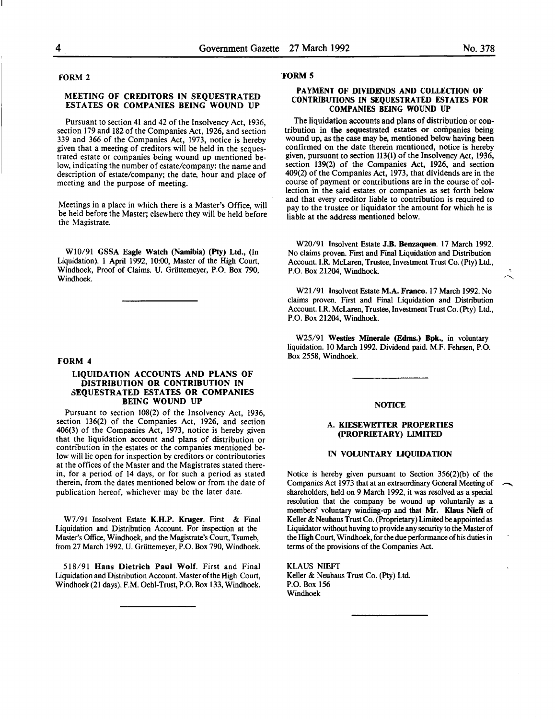#### FORM 2

#### MEETING OF CREDITORS IN SEQUESTRATED ESTATES OR COMPANIES BEING WOUND UP

Pursuant to section 41 and 42 of the Insolvency Act, 1936, section 179 and 182 of the Companies Act, 1926, and section 339 and 366 of the Companies Act, 1973, notice is hereby given that a meeting of creditors will be held in the sequestrated estate or companies being wound up mentioned below, indicating the number of estate/company: the name and description of estate/company; the date, hour and place of meeting and the purpose of meeting.

Meetings in a place in which there is a Master's Office, will be held before the Master; elsewhere they will be held before the Magistrate.

W10/91 GSSA Eagle Watch (Namibia) (Pty) Ltd., (In Liquidation). 1 April 1992, 10:00, Master of the High Court, Windhoek, Proof of Claims. U. Griittemeyer, P.O. Box 790, Windhoek.

#### FORM 4

#### LIQUIDATION ACCOUNTS AND PLANS OF DISTRIBUTION OR CONTRIBUTION IN 3EQUESTRATED ESTATES OR COMPANIES BEING WOUND UP

Pursuant to section 108(2) of the Insolvency Act, 1936, section 136(2) of the Companies Act, 1926, and section 406(3) of the Companies Act, 1973, notice is hereby given contribution in the estates or the companies mentioned below will lie open for inspection by creditors or contributories at the offices of the Master and the Magistrates stated therein, for a period of 14 days, or for such a period as stated therein, from the dates mentioned below or from the date of publication hereof, whichever may be the later date.

W7/91 Insolvent Estate K.H.P. Kruger. First & Final Liquidation and Distribution Account. For inspection at the Master's Office, Windhoek, and the Magistrate's Court, Tsumeb, from 27 March 1992. U. Griittemeyer, P.O. Box 790, Windhoek.

518/91 Hans Dietrich Paul Wolf. First and Final Liquidation and Distribution Account. Master of the High Court, Windhoek (21 days). F.M. Oehl-Trust, P.O. Box 133, Windhoek.

#### 'FORM 5

#### PAYMENT OF DIVIDENDS AND COLLECTION OF CONTRIBUTIONS IN SEQUESTRATED ESTATES FOR COMPANIES BEING WOUND UP

The liquidation accounts and plans of distribution or contribution in the sequestrated estates or companies being wound up, as the case may be, mentioned below having been confirmed on the date therein mentioned, notice is hereby given, pursuant to section 113(1) of the Insolvency Act, 1936, section 139(2) of the Companies Act, 1926, and section 409(2) of the Companies Act, 1973, that dividends are in the course of payment or contributions are in the course of collection in the said estates or companies as set forth below and that every creditor liable to contribution is reauired to pay to the trustee or liquidator the amount for which he is liable at the address mentioned below.

W20/91 Insolvent Estate J.B. Benzaquen. 17 March 1992. No claims proven. First and Final Liquidation and Distribution Account. I.R. McLaren, Trustee, Investment Trust Co. (Pty) Ltd., P.O. Box 21204, Windhoek.

W21/91 Insolvent Estate M.A. Franco. 17 March 1992. No claims proven. First and Final Liquidation and Distribution Account. I.R. McLaren, Trustee, Investment Trust Co. (Pty) Ltd., P.O. Box 21204, Windhoek.

W25/91 Westies Minerale (Edms.) Bpk., in voluntary liquidation. 10 March 1992. Dividend paid. M.F. Fehrsen, P.O. Box 2558, Windhoek.

#### **NOTICE**

#### A. KIESEWETTER PROPERTIES (PROPRIETARY) LIMITED

#### IN VOLUNTARY LIQUIDATION

Notice is hereby given pursuant to Section 356(2)(b) of the Companies Act 1973 that at an extraordinary General Meeting of shareholders, held on 9 March 1992, it was resolved as a special resolution that the company be wound up voluntarily as a members' voluntary winding-up and that Mr. Klaus Nieft of Keller & Neuhaus Trust Co. (Proprietary) Limited be appointed as Liquidator without having to provide any security to the Master of the High Court, Windhoek, for the due performance of his duties in terms of the provisions of the Companies Act.

KLAUS NIEFT Keller & Neuhaus Trust Co. (Pty) Ltd. P.O. Box 156 Windhoek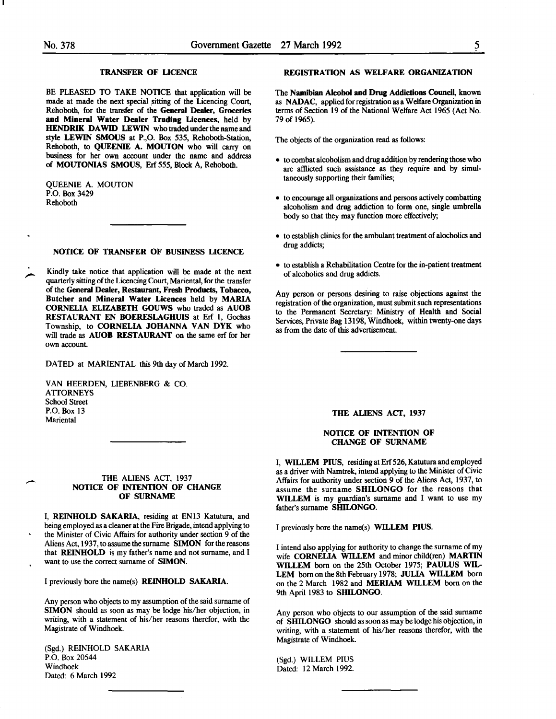#### TRANSFER OF LICENCE

BE PLEASED TO TAKE NOTICE that application will be made at made the next special sitting of the Licencing Court, Rehoboth, for the transfer of the General Dealer, Groceries and Mineral Water Dealer Trading Licences, held by HENDRIK DAWID LEWIN who traded under the name and style LEWIN SMOUS at P.,O. Box 535, Rehoboth-Station, Rehoboth, to QUEENIE A. MOUTON who will carry on business for her own account under the name and address of MOUTONIAS SMOUS, Erf *555,* Block A, Rehoboth.

QUEENIE A. MOUTON P.O. Box 3429 Rehoboth

#### NOTICE OF TRANSFER OF BUSINESS LICENCE

Kindly take notice that application will be made at the next quarterly sitting of the Licencing Court, Mariental, for the transfer of the General Dealer, Restaurant, Fresh Products, Tobacco, Butcher and Mineral Water Licences held by MARIA CORNELIA ELIZABETH GOUWS who traded as AUOB RESTAURANT EN BOERESLAGHUIS at Erf 1, Gochas Township, to CORNELIA JOHANNA VAN DYK who will trade as AUOB RESTAURANT on the same erf for her own account.

DATED at MARIENTAL this 9th day of March 1992.

VAN HEERDEN, LIESENBERG & CO. ATTORNEYS School Street P.O. Box l3 **Mariental** 

#### THE ALIENS ACT, 1937 NOTICE OF INTENTION OF CHANGE OF SURNAME

I, REINHOLD SAKARIA, residing at EN13 Katutura, and being employed as a cleaner at the Fire Brigade, intend applying to the Minister of Civic Affairs for authority under section 9 of the Aliens Act, 1937, to assume the surname SIMON for the reasons that REINHOLD is my father's name and not surname, and I want to use the correct surname of SIMON.

I previously bore the name(s) REINHOLD SAKARIA.

Any person who objects to my assumption of the said surname of SIMON should as soon as may be lodge his/her objection, in writing, with a statement of his/her reasons therefor, with the Magistrate of Windhoek.

(Sgd.) REINHOLD SAKARIA P.O. Box 20544 Windhoek Dated: 6 March 1992

#### REGISTRATION AS WELFARE ORGANIZATION

The Namibian Alcohol and Drug Addictions Council, known as NADAC, applied for registration as a Welfare Organization in terms of Section 19 of the National Welfare Act 1965 (Act No. 79 of 1965).

The objects of the organization read as follows:

- to combat alcoholism and drug addition by rendering those who are afflicted such assistance as they require and by simultaneously supporting their families;
- to encourage all organizations and persons actively combatting alcoholism and drug addiction to form one, single umbrella body so that they may function more effectively;
- to establish clinics for the ambulant treatment of alocholics and drug addicts;
- to establish a Rehabilitation Centre for the in-patient treatment of alcoholics and drug addicts.

Any person or persons desiring to raise objections against the registration of the organization, must submit such representations to the Permanent Secretary: Ministry of Health and Social Services, Private Bag 13198, Windhoek, within twenty-one days as from the date of this advertisement.

THE ALIENS ACT, 1937

#### NOTICE OF INTENTION OF CHANGE OF SURNAME

I, WILLEM PIUS, residing at Erf 526, Katutura and employed as a driver with Namtrek, intend applying to the Minister of Civic Affairs for authority under section 9 of the Aliens Act, 1937, to assume the surname SHILONGO for the reasons that WILLEM is my guardian's surname and I want to use my father's surname SHILONGO.

I previously bore the name(s) WILLEM PIUS.

I intend also applying for authority to change the surname of my wife CORNELIA WILLEM and minor child(ren) MARTIN WILLEM born on the 25th October 1975; PAULUS WIL-LEM born on the 8th February 1978; JULIA WILLEM born on the 2 March 1982 and MERIAM WILLEM born on the 9th April 1983 to SHILONGO.

Any person who objects to our assumption of the said surname of SHILONGO should as soon as may be lodge his objection, in writing, with a statement of his/her reasons therefor, with the Magistrate of Windhoek.

(Sgd.) WILLEM PIUS Dated: 12 March 1992.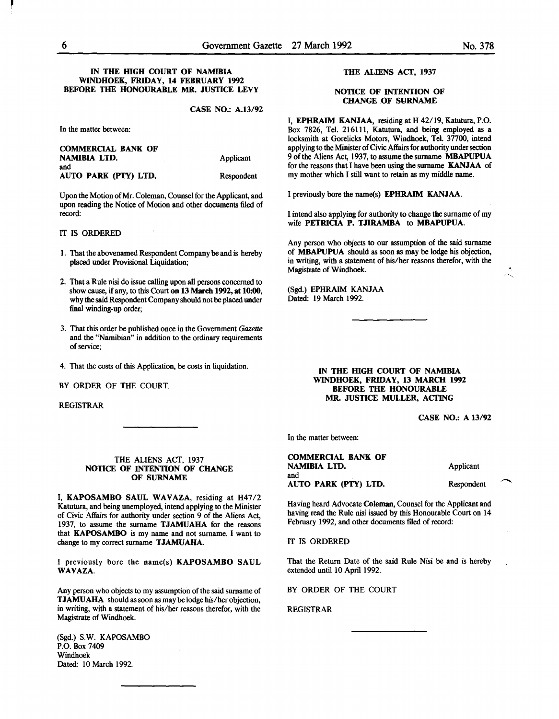#### IN THE HIGH COURT OF NAMIBIA WINDHOEK, FRIDAY, 14 FEBRUARY 1992 BEFORE THE HONOURABLE MR. JUSTICE LEVY

CASE NO.: A.13/92

In the matter between:

| <b>COMMERCIAL BANK OF</b> |            |
|---------------------------|------------|
| NAMIBIA LTD.              | Applicant  |
| and                       |            |
| AUTO PARK (PTY) LTD.      | Respondent |
|                           |            |

Upon the Motion of Mr. Coleman, Counsel for the Applicant, and upon reading the Notice of Motion and other documents filed of record:

### IT IS ORDERED

- 1. That the abovenamed Respondent Company be and is hereby placed under Provisional Liquidation;
- 2. That a Rule nisi do issue calling upon all persons concerned to show cause, if any, to this Court on 13 March 1992, at 10:00, why the said Respondent Company should not be placed under final winding-up order;
- 3. That this order be published once in the Government *Gazette*  and the "Namibian" in addition to the ordinary requirements of service;
- 4. That the costs of this Application, be costs in liquidation.

BY ORDER OF THE COURT.

REGISTRAR

#### THE ALIENS ACT, 1937 NOTICE OF INTENTION OF CHANGE OF SURNAME

I, KAPOSAMBO SAUL WAVAZA, residing at H47/2 Katutura, and being unemployed, intend applying to the Minister of Civic Affairs for authority under section 9 of the Aliens Act, 1937, to assume the surname TJAMUAHA for the reasons that KAPOSAMBO is my name and not surname. I want to change to my correct surname TJAMUAHA.

I previously bore the name(s) KAPOSAMBO SAUL WAVAZA.

Any person who objects to my assumption of the said surname of T JAMUAHA should as soon as may be lodge his/her objection, in writing, with a statement of his/her reasons therefor, with the Magistrate of Windhoek.

(Sgd.) S.W. KAPOSAMBO P.O. Box 7409 Windhoek Dated: 10 March 1992.

#### THE ALIENS ACT, 1937

#### NOTICE OF INTENTION OF **CHANGE OF SURNAME**

I, EPHRAIM KANJAA, residing at H 42/19, Katutura, P.O. Box 7826, Tel. 216111, Katutura, and being employed as a locksmith at Gorelicks Motors, Windhoek, Tel. 37700, intend applying to the Minister of Civic Affairs for authority under section 9 of the Aliens Act, 1937, to assume the surname MBAPUPUA for the reasons that I have been using the surname KANJAA of my mother which I still want to retain as my middle name.

I previously bore the name(s) EPHRAIM KANJAA.

I intend also applying for authority to change the surname of my wife PETRICIA P. TJIRAMBA to MBAPUPUA.

Any person who objects to our assumption of the said surname of MBAPUPUA should as soon as may be lodge his objection, in writing, with a statement of his/her reasons therefor, with the Magistrate of Windhoek.

(Sgd.) EPHRAIM KANJAA Dated: 19 March 1992.

> IN THE HIGH COURT OF NAMIBIA WINDHOEK, FRIDAY, 13 MARCH 1992 BEFORE THE HONOURABLE MR. JUSTICE MULLER, ACTING

> > CASE NO.: A 13/92

In the matter between:

COMMERCIAL BANK OF NAMIBIA LID. and AUTO PARK (PTY) LID.

Applicant

Respondent

Having heard Advocate Coleman, Counsel for the Applicant and having read the Rule nisi issued by this Honourable Court on 14 February 1992, and other documents filed of record:

IT IS ORDERED

That the Return Date of the said Rule Nisi be and is hereby extended until 10 April 1992.

BY ORDER OF THE COURT

REGISTRAR